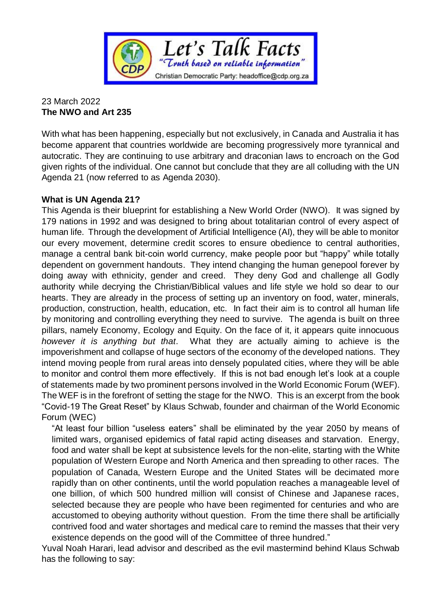

# 23 March 2022 **The NWO and Art 235**

With what has been happening, especially but not exclusively, in Canada and Australia it has become apparent that countries worldwide are becoming progressively more tyrannical and autocratic. They are continuing to use arbitrary and draconian laws to encroach on the God given rights of the individual. One cannot but conclude that they are all colluding with the UN Agenda 21 (now referred to as Agenda 2030).

# **What is UN Agenda 21?**

This Agenda is their blueprint for establishing a New World Order (NWO). It was signed by 179 nations in 1992 and was designed to bring about totalitarian control of every aspect of human life. Through the development of Artificial Intelligence (AI), they will be able to monitor our every movement, determine credit scores to ensure obedience to central authorities, manage a central bank bit-coin world currency, make people poor but "happy" while totally dependent on government handouts. They intend changing the human genepool forever by doing away with ethnicity, gender and creed. They deny God and challenge all Godly authority while decrying the Christian/Biblical values and life style we hold so dear to our hearts. They are already in the process of setting up an inventory on food, water, minerals, production, construction, health, education, etc. In fact their aim is to control all human life by monitoring and controlling everything they need to survive. The agenda is built on three pillars, namely Economy, Ecology and Equity. On the face of it, it appears quite innocuous *however it is anything but that*. What they are actually aiming to achieve is the impoverishment and collapse of huge sectors of the economy of the developed nations. They intend moving people from rural areas into densely populated cities, where they will be able to monitor and control them more effectively. If this is not bad enough let's look at a couple of statements made by two prominent persons involved in the World Economic Forum (WEF). The WEF is in the forefront of setting the stage for the NWO. This is an excerpt from the book "Covid-19 The Great Reset" by Klaus Schwab, founder and chairman of the World Economic Forum (WEC)

"At least four billion "useless eaters" shall be eliminated by the year 2050 by means of limited wars, organised epidemics of fatal rapid acting diseases and starvation. Energy, food and water shall be kept at subsistence levels for the non-elite, starting with the White population of Western Europe and North America and then spreading to other races. The population of Canada, Western Europe and the United States will be decimated more rapidly than on other continents, until the world population reaches a manageable level of one billion, of which 500 hundred million will consist of Chinese and Japanese races, selected because they are people who have been regimented for centuries and who are accustomed to obeying authority without question. From the time there shall be artificially contrived food and water shortages and medical care to remind the masses that their very existence depends on the good will of the Committee of three hundred."

Yuval Noah Harari, lead advisor and described as the evil mastermind behind Klaus Schwab has the following to say: